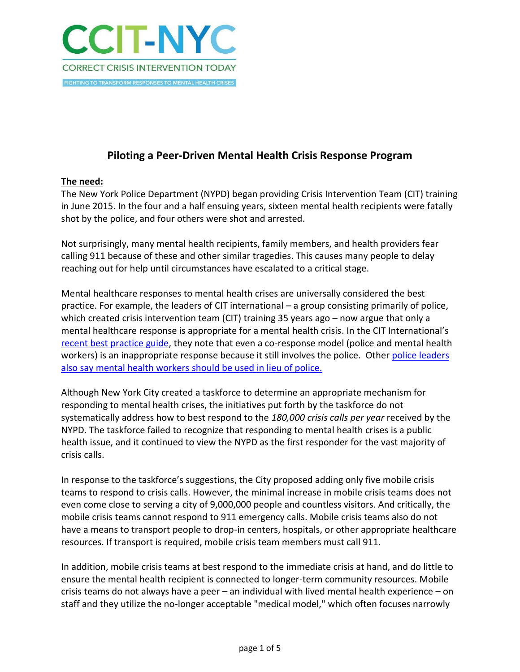

# **Piloting a Peer-Driven Mental Health Crisis Response Program**

### **The need:**

The New York Police Department (NYPD) began providing Crisis Intervention Team (CIT) training in June 2015. In the four and a half ensuing years, sixteen mental health recipients were fatally shot by the police, and four others were shot and arrested.

Not surprisingly, many mental health recipients, family members, and health providers fear calling 911 because of these and other similar tragedies. This causes many people to delay reaching out for help until circumstances have escalated to a critical stage.

Mental healthcare responses to mental health crises are universally considered the best practice. For example, the leaders of CIT international – a group consisting primarily of police, which created crisis intervention team (CIT) training 35 years ago – now argue that only a mental healthcare response is appropriate for a mental health crisis. In the CIT International's [recent best practice guide,](http://www.citinternational.org/resources/Documents/CIT%20guide%20interactive%20web%20version%20final.pdf) they note that even a co-response model (police and mental health workers) is an inappropriate response because it still involves the police. Othe[r police leaders](https://talk.crisisnow.com/mental-health-care-shouldnt-come-in-a-police-car/?utm_source=CrisisTalk%2B%E2%80%A2%2BCrisisNow&utm_campaign=9c0ad264ae-RSS_EMAIL_CAMPAIGN&utm_medium=email&utm_term=0_408fb22479-9c0ad264ae-452388421)  [also say mental health workers](https://talk.crisisnow.com/mental-health-care-shouldnt-come-in-a-police-car/?utm_source=CrisisTalk%2B%E2%80%A2%2BCrisisNow&utm_campaign=9c0ad264ae-RSS_EMAIL_CAMPAIGN&utm_medium=email&utm_term=0_408fb22479-9c0ad264ae-452388421) should be used in lieu of police.

Although New York City created a taskforce to determine an appropriate mechanism for responding to mental health crises, the initiatives put forth by the taskforce do not systematically address how to best respond to the *180,000 crisis calls per year* received by the NYPD. The taskforce failed to recognize that responding to mental health crises is a public health issue, and it continued to view the NYPD as the first responder for the vast majority of crisis calls.

In response to the taskforce's suggestions, the City proposed adding only five mobile crisis teams to respond to crisis calls. However, the minimal increase in mobile crisis teams does not even come close to serving a city of 9,000,000 people and countless visitors. And critically, the mobile crisis teams cannot respond to 911 emergency calls. Mobile crisis teams also do not have a means to transport people to drop-in centers, hospitals, or other appropriate healthcare resources. If transport is required, mobile crisis team members must call 911.

In addition, mobile crisis teams at best respond to the immediate crisis at hand, and do little to ensure the mental health recipient is connected to longer-term community resources. Mobile crisis teams do not always have a peer – an individual with lived mental health experience – on staff and they utilize the no-longer acceptable "medical model," which often focuses narrowly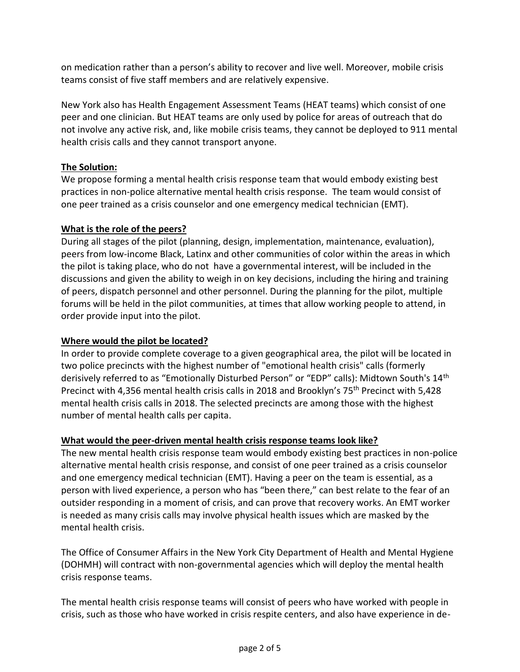on medication rather than a person's ability to recover and live well. Moreover, mobile crisis teams consist of five staff members and are relatively expensive.

New York also has Health Engagement Assessment Teams (HEAT teams) which consist of one peer and one clinician. But HEAT teams are only used by police for areas of outreach that do not involve any active risk, and, like mobile crisis teams, they cannot be deployed to 911 mental health crisis calls and they cannot transport anyone.

### **The Solution:**

We propose forming a mental health crisis response team that would embody existing best practices in non-police alternative mental health crisis response. The team would consist of one peer trained as a crisis counselor and one emergency medical technician (EMT).

### **What is the role of the peers?**

During all stages of the pilot (planning, design, implementation, maintenance, evaluation), peers from low-income Black, Latinx and other communities of color within the areas in which the pilot is taking place, who do not have a governmental interest, will be included in the discussions and given the ability to weigh in on key decisions, including the hiring and training of peers, dispatch personnel and other personnel. During the planning for the pilot, multiple forums will be held in the pilot communities, at times that allow working people to attend, in order provide input into the pilot.

# **Where would the pilot be located?**

In order to provide complete coverage to a given geographical area, the pilot will be located in two police precincts with the highest number of "emotional health crisis" calls (formerly derisively referred to as "Emotionally Disturbed Person" or "EDP" calls): Midtown South's 14th Precinct with 4,356 mental health crisis calls in 2018 and Brooklyn's 75th Precinct with 5,428 mental health crisis calls in 2018. The selected precincts are among those with the highest number of mental health calls per capita.

### **What would the peer-driven mental health crisis response teams look like?**

The new mental health crisis response team would embody existing best practices in non-police alternative mental health crisis response, and consist of one peer trained as a crisis counselor and one emergency medical technician (EMT). Having a peer on the team is essential, as a person with lived experience, a person who has "been there," can best relate to the fear of an outsider responding in a moment of crisis, and can prove that recovery works. An EMT worker is needed as many crisis calls may involve physical health issues which are masked by the mental health crisis.

The Office of Consumer Affairs in the New York City Department of Health and Mental Hygiene (DOHMH) will contract with non-governmental agencies which will deploy the mental health crisis response teams.

The mental health crisis response teams will consist of peers who have worked with people in crisis, such as those who have worked in crisis respite centers, and also have experience in de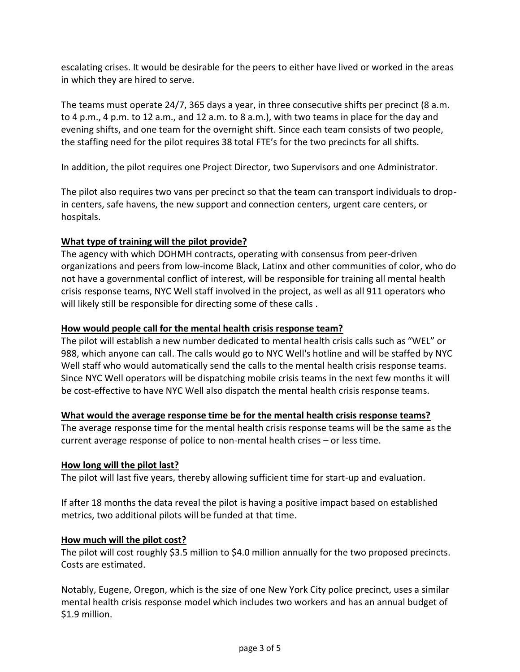escalating crises. It would be desirable for the peers to either have lived or worked in the areas in which they are hired to serve.

The teams must operate 24/7, 365 days a year, in three consecutive shifts per precinct (8 a.m. to 4 p.m., 4 p.m. to 12 a.m., and 12 a.m. to 8 a.m.), with two teams in place for the day and evening shifts, and one team for the overnight shift. Since each team consists of two people, the staffing need for the pilot requires 38 total FTE's for the two precincts for all shifts.

In addition, the pilot requires one Project Director, two Supervisors and one Administrator.

The pilot also requires two vans per precinct so that the team can transport individuals to dropin centers, safe havens, the new support and connection centers, urgent care centers, or hospitals.

# **What type of training will the pilot provide?**

The agency with which DOHMH contracts, operating with consensus from peer-driven organizations and peers from low-income Black, Latinx and other communities of color, who do not have a governmental conflict of interest, will be responsible for training all mental health crisis response teams, NYC Well staff involved in the project, as well as all 911 operators who will likely still be responsible for directing some of these calls.

## **How would people call for the mental health crisis response team?**

The pilot will establish a new number dedicated to mental health crisis calls such as "WEL" or 988, which anyone can call. The calls would go to NYC Well's hotline and will be staffed by NYC Well staff who would automatically send the calls to the mental health crisis response teams. Since NYC Well operators will be dispatching mobile crisis teams in the next few months it will be cost-effective to have NYC Well also dispatch the mental health crisis response teams.

### **What would the average response time be for the mental health crisis response teams?**

The average response time for the mental health crisis response teams will be the same as the current average response of police to non-mental health crises – or less time.

### **How long will the pilot last?**

The pilot will last five years, thereby allowing sufficient time for start-up and evaluation.

If after 18 months the data reveal the pilot is having a positive impact based on established metrics, two additional pilots will be funded at that time.

### **How much will the pilot cost?**

The pilot will cost roughly \$3.5 million to \$4.0 million annually for the two proposed precincts. Costs are estimated.

Notably, Eugene, Oregon, which is the size of one New York City police precinct, uses a similar mental health crisis response model which includes two workers and has an annual budget of \$1.9 million.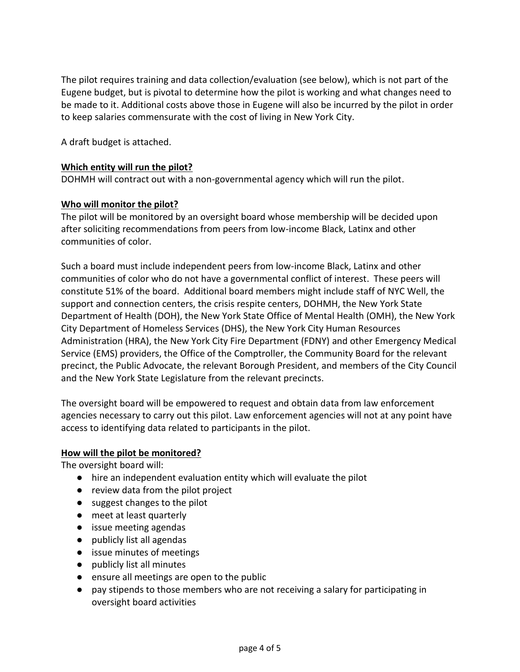The pilot requires training and data collection/evaluation (see below), which is not part of the Eugene budget, but is pivotal to determine how the pilot is working and what changes need to be made to it. Additional costs above those in Eugene will also be incurred by the pilot in order to keep salaries commensurate with the cost of living in New York City.

A draft budget is attached.

#### **Which entity will run the pilot?**

DOHMH will contract out with a non-governmental agency which will run the pilot.

#### **Who will monitor the pilot?**

The pilot will be monitored by an oversight board whose membership will be decided upon after soliciting recommendations from peers from low-income Black, Latinx and other communities of color.

Such a board must include independent peers from low-income Black, Latinx and other communities of color who do not have a governmental conflict of interest. These peers will constitute 51% of the board. Additional board members might include staff of NYC Well, the support and connection centers, the crisis respite centers, DOHMH, the New York State Department of Health (DOH), the New York State Office of Mental Health (OMH), the New York City Department of Homeless Services (DHS), the New York City Human Resources Administration (HRA), the New York City Fire Department (FDNY) and other Emergency Medical Service (EMS) providers, the Office of the Comptroller, the Community Board for the relevant precinct, the Public Advocate, the relevant Borough President, and members of the City Council and the New York State Legislature from the relevant precincts.

The oversight board will be empowered to request and obtain data from law enforcement agencies necessary to carry out this pilot. Law enforcement agencies will not at any point have access to identifying data related to participants in the pilot.

#### **How will the pilot be monitored?**

The oversight board will:

- hire an independent evaluation entity which will evaluate the pilot
- review data from the pilot project
- suggest changes to the pilot
- meet at least quarterly
- issue meeting agendas
- publicly list all agendas
- issue minutes of meetings
- publicly list all minutes
- ensure all meetings are open to the public
- pay stipends to those members who are not receiving a salary for participating in oversight board activities